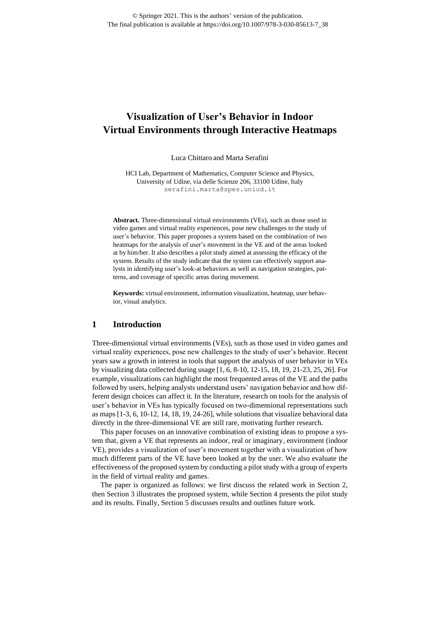# **Visualization of User's Behavior in Indoor Virtual Environments through Interactive Heatmaps**

Luca Chittaro and Marta Serafini

HCI Lab, Department of Mathematics, Computer Science and Physics, University of Udine, via delle Scienze 206, 33100 Udine, Italy serafini.marta@spes.uniud.it

**Abstract.** Three-dimensional virtual environments (VEs), such as those used in video games and virtual reality experiences, pose new challenges to the study of user's behavior. This paper proposes a system based on the combination of two heatmaps for the analysis of user's movement in the VE and of the areas looked at by him/her. It also describes a pilot study aimed at assessing the efficacy of the system. Results of the study indicate that the system can effectively support analysts in identifying user's look-at behaviors as well as navigation strategies, patterns, and coverage of specific areas during movement.

**Keywords:** virtual environment, information visualization, heatmap, user behavior, visual analytics.

### **1 Introduction**

Three-dimensional virtual environments (VEs), such as those used in video games and virtual reality experiences, pose new challenges to the study of user's behavior. Recent years saw a growth in interest in tools that support the analysis of user behavior in VEs by visualizing data collected during usage [1, 6, 8-10, 12-15, 18, 19, 21-23, 25, 26]. For example, visualizations can highlight the most frequented areas of the VE and the paths followed by users, helping analysts understand users' navigation behavior and how different design choices can affect it. In the literature, research on tools for the analysis of user's behavior in VEs has typically focused on two-dimensional representations such as maps [1-3, 6, 10-12, 14, 18, 19, 24-26], while solutions that visualize behavioral data directly in the three-dimensional VE are still rare, motivating further research.

This paper focuses on an innovative combination of existing ideas to propose a system that, given a VE that represents an indoor, real or imaginary, environment (indoor VE), provides a visualization of user's movement together with a visualization of how much different parts of the VE have been looked at by the user. We also evaluate the effectiveness of the proposed system by conducting a pilot study with a group of experts in the field of virtual reality and games.

The paper is organized as follows: we first discuss the related work in Section 2, then Section 3 illustrates the proposed system, while Section 4 presents the pilot study and its results. Finally, Section 5 discusses results and outlines future work.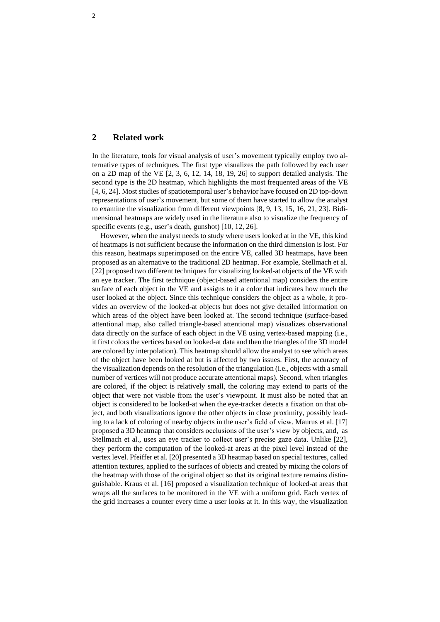# **2 Related work**

In the literature, tools for visual analysis of user's movement typically employ two alternative types of techniques. The first type visualizes the path followed by each user on a 2D map of the VE [2, 3, 6, 12, 14, 18, 19, 26] to support detailed analysis. The second type is the 2D heatmap, which highlights the most frequented areas of the VE [4, 6, 24]. Most studies of spatiotemporal user's behavior have focused on 2D top-down representations of user's movement, but some of them have started to allow the analyst to examine the visualization from different viewpoints [8, 9, 13, 15, 16, 21, 23]. Bidimensional heatmaps are widely used in the literature also to visualize the frequency of specific events (e.g., user's death, gunshot) [10, 12, 26].

However, when the analyst needs to study where users looked at in the VE, this kind of heatmaps is not sufficient because the information on the third dimension is lost. For this reason, heatmaps superimposed on the entire VE, called 3D heatmaps, have been proposed as an alternative to the traditional 2D heatmap. For example, Stellmach et al. [22] proposed two different techniques for visualizing looked-at objects of the VE with an eye tracker. The first technique (object-based attentional map) considers the entire surface of each object in the VE and assigns to it a color that indicates how much the user looked at the object. Since this technique considers the object as a whole, it provides an overview of the looked-at objects but does not give detailed information on which areas of the object have been looked at. The second technique (surface-based attentional map, also called triangle-based attentional map) visualizes observational data directly on the surface of each object in the VE using vertex-based mapping (i.e., it first colors the vertices based on looked-at data and then the triangles of the 3D model are colored by interpolation). This heatmap should allow the analyst to see which areas of the object have been looked at but is affected by two issues. First, the accuracy of the visualization depends on the resolution of the triangulation (i.e., objects with a small number of vertices will not produce accurate attentional maps). Second, when triangles are colored, if the object is relatively small, the coloring may extend to parts of the object that were not visible from the user's viewpoint. It must also be noted that an object is considered to be looked-at when the eye-tracker detects a fixation on that object, and both visualizations ignore the other objects in close proximity, possibly leading to a lack of coloring of nearby objects in the user's field of view. Maurus et al. [17] proposed a 3D heatmap that considers occlusions of the user's view by objects, and, as Stellmach et al., uses an eye tracker to collect user's precise gaze data. Unlike [22], they perform the computation of the looked-at areas at the pixel level instead of the vertex level. Pfeiffer et al. [20] presented a 3D heatmap based on special textures, called attention textures, applied to the surfaces of objects and created by mixing the colors of the heatmap with those of the original object so that its original texture remains distinguishable. Kraus et al. [16] proposed a visualization technique of looked-at areas that wraps all the surfaces to be monitored in the VE with a uniform grid. Each vertex of the grid increases a counter every time a user looks at it. In this way, the visualization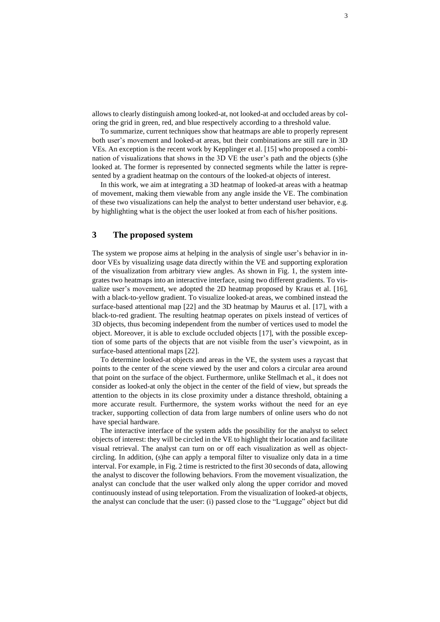allows to clearly distinguish among looked-at, not looked-at and occluded areas by coloring the grid in green, red, and blue respectively according to a threshold value.

To summarize, current techniques show that heatmaps are able to properly represent both user's movement and looked-at areas, but their combinations are still rare in 3D VEs. An exception is the recent work by Kepplinger et al. [15] who proposed a combination of visualizations that shows in the 3D VE the user's path and the objects (s)he looked at. The former is represented by connected segments while the latter is represented by a gradient heatmap on the contours of the looked-at objects of interest.

In this work, we aim at integrating a 3D heatmap of looked-at areas with a heatmap of movement, making them viewable from any angle inside the VE. The combination of these two visualizations can help the analyst to better understand user behavior, e.g. by highlighting what is the object the user looked at from each of his/her positions.

### **3 The proposed system**

The system we propose aims at helping in the analysis of single user's behavior in indoor VEs by visualizing usage data directly within the VE and supporting exploration of the visualization from arbitrary view angles. As shown in Fig. 1, the system integrates two heatmaps into an interactive interface, using two different gradients. To visualize user's movement, we adopted the 2D heatmap proposed by Kraus et al. [16], with a black-to-yellow gradient. To visualize looked-at areas, we combined instead the surface-based attentional map [22] and the 3D heatmap by Maurus et al. [17], with a black-to-red gradient. The resulting heatmap operates on pixels instead of vertices of 3D objects, thus becoming independent from the number of vertices used to model the object. Moreover, it is able to exclude occluded objects [17], with the possible exception of some parts of the objects that are not visible from the user's viewpoint, as in surface-based attentional maps [22].

To determine looked-at objects and areas in the VE, the system uses a raycast that points to the center of the scene viewed by the user and colors a circular area around that point on the surface of the object. Furthermore, unlike Stellmach et al., it does not consider as looked-at only the object in the center of the field of view, but spreads the attention to the objects in its close proximity under a distance threshold, obtaining a more accurate result. Furthermore, the system works without the need for an eye tracker, supporting collection of data from large numbers of online users who do not have special hardware.

The interactive interface of the system adds the possibility for the analyst to select objects of interest: they will be circled in the VE to highlight their location and facilitate visual retrieval. The analyst can turn on or off each visualization as well as objectcircling. In addition, (s)he can apply a temporal filter to visualize only data in a time interval. For example, in Fig. 2 time is restricted to the first 30 seconds of data, allowing the analyst to discover the following behaviors. From the movement visualization, the analyst can conclude that the user walked only along the upper corridor and moved continuously instead of using teleportation. From the visualization of looked-at objects, the analyst can conclude that the user: (i) passed close to the "Luggage" object but did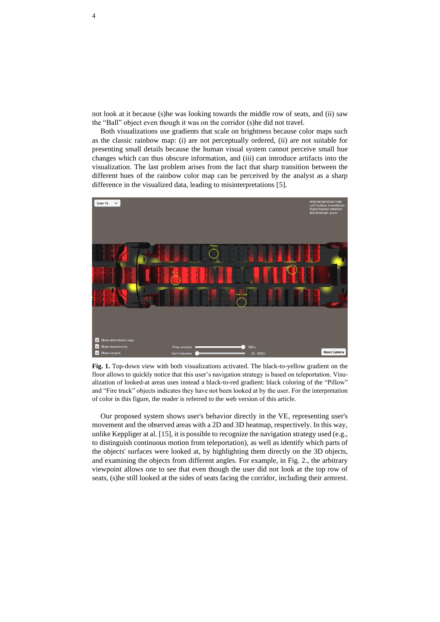not look at it because (s)he was looking towards the middle row of seats, and (ii) saw the "Ball" object even though it was on the corridor (s)he did not travel.

Both visualizations use gradients that scale on brightness because color maps such as the classic rainbow map: (i) are not perceptually ordered, (ii) are not suitable for presenting small details because the human visual system cannot perceive small hue changes which can thus obscure information, and (iii) can introduce artifacts into the visualization. The last problem arises from the fact that sharp transition between the different hues of the rainbow color map can be perceived by the analyst as a sharp difference in the visualized data, leading to misinterpretations [5].



**Fig. 1.** Top-down view with both visualizations activated. The black-to-yellow gradient on the floor allows to quickly notice that this user's navigation strategy is based on teleportation. Visualization of looked-at areas uses instead a black-to-red gradient: black coloring of the "Pillow" and "Fire truck" objects indicates they have not been looked at by the user. For the interpretation of color in this figure, the reader is referred to the web version of this article.

Our proposed system shows user's behavior directly in the VE, representing user's movement and the observed areas with a 2D and 3D heatmap, respectively. In this way, unlike Keppliger at al. [15], it is possible to recognize the navigation strategy used (e.g., to distinguish continuous motion from teleportation), as well as identify which parts of the objects' surfaces were looked at, by highlighting them directly on the 3D objects, and examining the objects from different angles. For example, in Fig. 2., the arbitrary viewpoint allows one to see that even though the user did not look at the top row of seats, (s)he still looked at the sides of seats facing the corridor, including their armrest.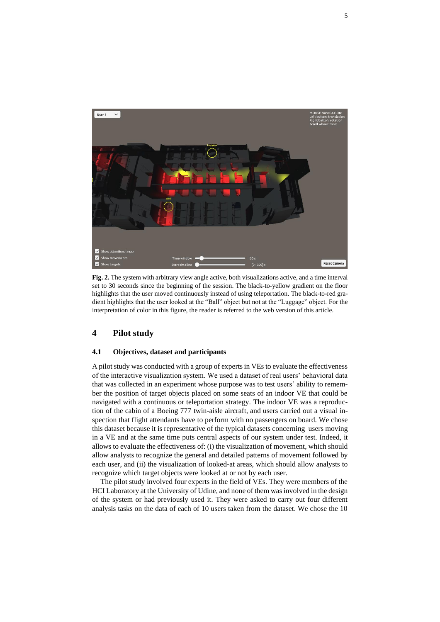

**Fig. 2.** The system with arbitrary view angle active, both visualizations active, and a time interval set to 30 seconds since the beginning of the session. The black-to-yellow gradient on the floor highlights that the user moved continuously instead of using teleportation. The black-to-red gradient highlights that the user looked at the "Ball" object but not at the "Luggage" object. For the interpretation of color in this figure, the reader is referred to the web version of this article.

### **4 Pilot study**

#### **4.1 Objectives, dataset and participants**

A pilot study was conducted with a group of experts in VEs to evaluate the effectiveness of the interactive visualization system. We used a dataset of real users' behavioral data that was collected in an experiment whose purpose was to test users' ability to remember the position of target objects placed on some seats of an indoor VE that could be navigated with a continuous or teleportation strategy. The indoor VE was a reproduction of the cabin of a Boeing 777 twin-aisle aircraft, and users carried out a visual inspection that flight attendants have to perform with no passengers on board. We chose this dataset because it is representative of the typical datasets concerning users moving in a VE and at the same time puts central aspects of our system under test. Indeed, it allows to evaluate the effectiveness of: (i) the visualization of movement, which should allow analysts to recognize the general and detailed patterns of movement followed by each user, and (ii) the visualization of looked-at areas, which should allow analysts to recognize which target objects were looked at or not by each user.

The pilot study involved four experts in the field of VEs. They were members of the HCI Laboratory at the University of Udine, and none of them wasinvolved in the design of the system or had previously used it. They were asked to carry out four different analysis tasks on the data of each of 10 users taken from the dataset. We chose the 10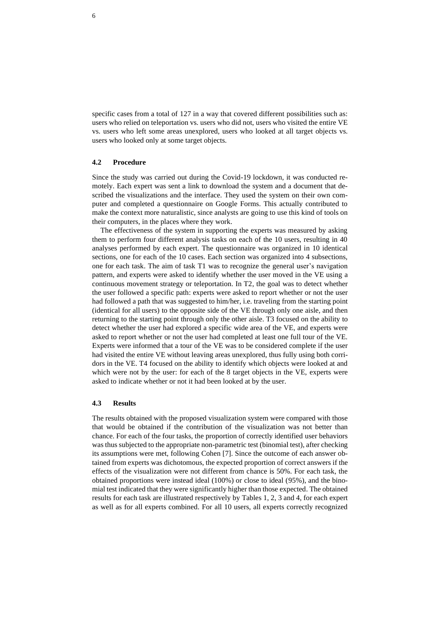specific cases from a total of 127 in a way that covered different possibilities such as: users who relied on teleportation vs. users who did not, users who visited the entire VE vs. users who left some areas unexplored, users who looked at all target objects vs. users who looked only at some target objects.

### **4.2 Procedure**

Since the study was carried out during the Covid-19 lockdown, it was conducted remotely. Each expert was sent a link to download the system and a document that described the visualizations and the interface. They used the system on their own computer and completed a questionnaire on Google Forms. This actually contributed to make the context more naturalistic, since analysts are going to use this kind of tools on their computers, in the places where they work.

The effectiveness of the system in supporting the experts was measured by asking them to perform four different analysis tasks on each of the 10 users, resulting in 40 analyses performed by each expert. The questionnaire was organized in 10 identical sections, one for each of the 10 cases. Each section was organized into 4 subsections, one for each task. The aim of task T1 was to recognize the general user's navigation pattern, and experts were asked to identify whether the user moved in the VE using a continuous movement strategy or teleportation. In T2, the goal was to detect whether the user followed a specific path: experts were asked to report whether or not the user had followed a path that was suggested to him/her, i.e. traveling from the starting point (identical for all users) to the opposite side of the VE through only one aisle, and then returning to the starting point through only the other aisle. T3 focused on the ability to detect whether the user had explored a specific wide area of the VE, and experts were asked to report whether or not the user had completed at least one full tour of the VE. Experts were informed that a tour of the VE was to be considered complete if the user had visited the entire VE without leaving areas unexplored, thus fully using both corridors in the VE. T4 focused on the ability to identify which objects were looked at and which were not by the user: for each of the 8 target objects in the VE, experts were asked to indicate whether or not it had been looked at by the user.

#### **4.3 Results**

The results obtained with the proposed visualization system were compared with those that would be obtained if the contribution of the visualization was not better than chance. For each of the four tasks, the proportion of correctly identified user behaviors was thus subjected to the appropriate non-parametric test (binomial test), after checking its assumptions were met, following Cohen [7]. Since the outcome of each answer obtained from experts was dichotomous, the expected proportion of correct answers if the effects of the visualization were not different from chance is 50%. For each task, the obtained proportions were instead ideal (100%) or close to ideal (95%), and the binomial test indicated that they were significantly higher than those expected. The obtained results for each task are illustrated respectively by Tables 1, 2, 3 and 4, for each expert as well as for all experts combined. For all 10 users, all experts correctly recognized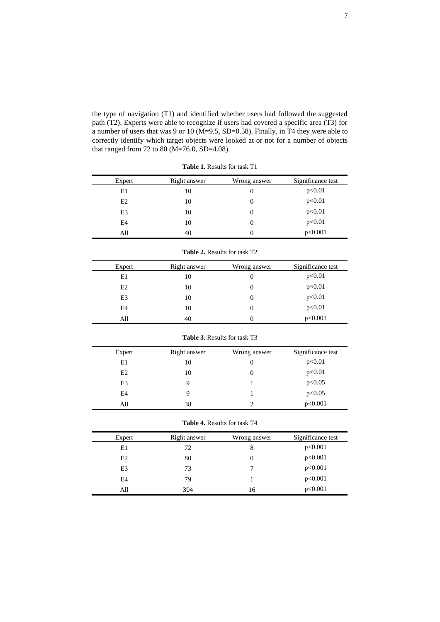the type of navigation (T1) and identified whether users had followed the suggested path (T2). Experts were able to recognize if users had covered a specific area (T3) for a number of users that was 9 or 10 (M=9.5, SD=0.58). Finally, in T4 they were able to correctly identify which target objects were looked at or not for a number of objects that ranged from 72 to 80 (M=76.0, SD=4.08).

| Expert                       | Right answer | Wrong answer                 | Significance test |  |  |
|------------------------------|--------------|------------------------------|-------------------|--|--|
| E1                           | 10           | $\boldsymbol{0}$             | p<0.01            |  |  |
| E2                           | 10           | $\boldsymbol{0}$             | p<0.01            |  |  |
| E <sub>3</sub>               | 10           | $\Omega$                     | p<0.01            |  |  |
| E <sub>4</sub>               | 10           | $\overline{0}$               | p<0.01            |  |  |
| All                          | 40           | $\boldsymbol{0}$             | p<0.001           |  |  |
|                              |              | Table 2. Results for task T2 |                   |  |  |
| Expert                       | Right answer | Wrong answer                 | Significance test |  |  |
| E1                           | 10           | $\boldsymbol{0}$             | p<0.01            |  |  |
| E2                           | 10           | $\mathbf{0}$                 | p<0.01            |  |  |
| E3                           | 10           | $\overline{0}$               | p<0.01            |  |  |
| E4                           | 10           | $\boldsymbol{0}$             | p<0.01            |  |  |
| All                          | 40           | $\overline{0}$               | p<0.001           |  |  |
| Table 3. Results for task T3 |              |                              |                   |  |  |
| Expert                       | Right answer | Wrong answer                 | Significance test |  |  |
| E1                           | 10           | $\overline{0}$               | p<0.01            |  |  |
| E2                           | 10           | $\boldsymbol{0}$             | p<0.01            |  |  |
| E <sub>3</sub>               | 9            | 1                            | p<0.05            |  |  |
| E <sub>4</sub>               | 9            | 1                            | p<0.05            |  |  |
| All                          | 38           | $\overline{2}$               | p<0.001           |  |  |
| Table 4. Results for task T4 |              |                              |                   |  |  |
| Expert                       | Right answer | Wrong answer                 | Significance test |  |  |
| E1                           | 72           | 8                            | p<0.001           |  |  |
| E2                           | 80           | $\overline{0}$               | p<0.001           |  |  |
| E <sub>3</sub>               | 73           | 7                            | p<0.001           |  |  |
| E <sub>4</sub>               | 79           | $\mathbf{1}$                 | p<0.001           |  |  |
| All                          | 304          | 16                           | p<0.001           |  |  |

**Table 1.** Results for task T1

| Expert | Right answer | Wrong answer | Significance test |
|--------|--------------|--------------|-------------------|
| E1     | 10           |              | p<0.01            |
| E2     | 10           | 0            | p<0.01            |
| E3     | 9            |              | p<0.05            |
| E4     | 9            |              | p<0.05            |
| All    | 38           |              | p<0.001           |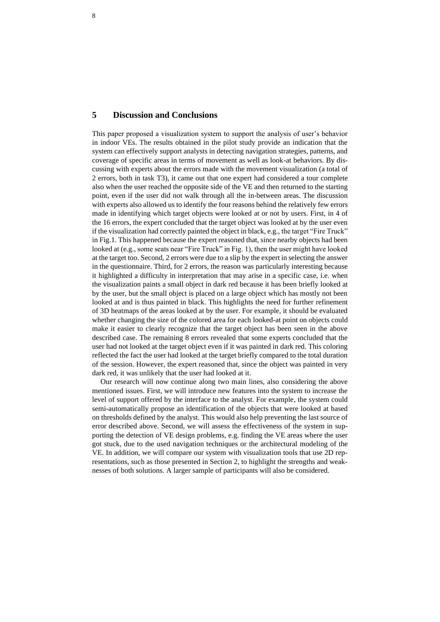## **5 Discussion and Conclusions**

This paper proposed a visualization system to support the analysis of user's behavior in indoor VEs. The results obtained in the pilot study provide an indication that the system can effectively support analysts in detecting navigation strategies, patterns, and coverage of specific areas in terms of movement as well as look-at behaviors. By discussing with experts about the errors made with the movement visualization (a total of 2 errors, both in task T3), it came out that one expert had considered a tour complete also when the user reached the opposite side of the VE and then returned to the starting point, even if the user did not walk through all the in-between areas. The discussion with experts also allowed us to identify the four reasons behind the relatively few errors made in identifying which target objects were looked at or not by users. First, in 4 of the 16 errors, the expert concluded that the target object was looked at by the user even if the visualization had correctly painted the object in black, e.g., the target "Fire Truck" in Fig.1. This happened because the expert reasoned that, since nearby objects had been looked at (e.g., some seats near "Fire Truck" in Fig. 1), then the user might have looked at the target too. Second, 2 errors were due to a slip by the expert in selecting the answer in the questionnaire. Third, for 2 errors, the reason was particularly interesting because it highlighted a difficulty in interpretation that may arise in a specific case, i.e. when the visualization paints a small object in dark red because it has been briefly looked at by the user, but the small object is placed on a large object which has mostly not been looked at and is thus painted in black. This highlights the need for further refinement of 3D heatmaps of the areas looked at by the user. For example, it should be evaluated whether changing the size of the colored area for each looked-at point on objects could make it easier to clearly recognize that the target object has been seen in the above described case. The remaining 8 errors revealed that some experts concluded that the user had not looked at the target object even if it was painted in dark red. This coloring reflected the fact the user had looked at the target briefly compared to the total duration of the session. However, the expert reasoned that, since the object was painted in very dark red, it was unlikely that the user had looked at it.

Our research will now continue along two main lines, also considering the above mentioned issues. First, we will introduce new features into the system to increase the level of support offered by the interface to the analyst. For example, the system could semi-automatically propose an identification of the objects that were looked at based on thresholds defined by the analyst. This would also help preventing the last source of error described above. Second, we will assess the effectiveness of the system in supporting the detection of VE design problems, e.g. finding the VE areas where the user got stuck, due to the used navigation techniques or the architectural modeling of the VE. In addition, we will compare our system with visualization tools that use 2D representations, such as those presented in Section 2, to highlight the strengths and weaknesses of both solutions. A larger sample of participants will also be considered.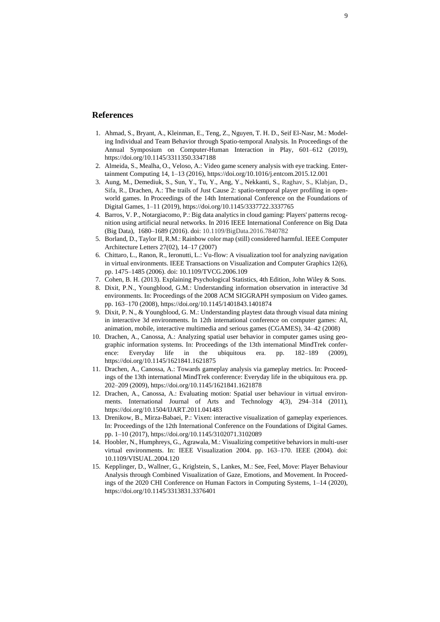# **References**

- 1. Ahmad, S., Bryant, A., Kleinman, E., Teng, Z., Nguyen, T. H. D., Seif El-Nasr, M.: Modeling Individual and Team Behavior through Spatio-temporal Analysis. In Proceedings of the Annual Symposium on Computer-Human Interaction in Play, 601–612 (2019), <https://doi.org/10.1145/3311350.3347188>
- 2. Almeida, S., Mealha, O., Veloso, A.: Video game scenery analysis with eye tracking. Entertainment Computing 14, 1–13 (2016), <https://doi.org/10.1016/j.entcom.2015.12.001>
- 3. Aung, M., Demediuk, S., Sun, Y., Tu, Y., Ang, Y., Nekkanti, S., Raghav, S., Klabjan, D., Sifa, R., Drachen, A.: The trails of Just Cause 2: spatio-temporal player profiling in openworld games. In Proceedings of the 14th International Conference on the Foundations of Digital Games, 1–11 (2019)[, https://doi.org/10.1145/3337722.3337765](https://doi.org/10.1145/3337722.3337765)
- 4. Barros, V. P., Notargiacomo, P.: Big data analytics in cloud gaming: Players' patterns recognition using artificial neural networks. In 2016 IEEE International Conference on Big Data (Big Data), 1680–1689 (2016). doi[: 10.1109/BigData.2016.7840782](https://doi.org/10.1109/BigData.2016.7840782)
- 5. Borland, D., Taylor II, R.M.: Rainbow color map (still) considered harmful. IEEE Computer Architecture Letters 27(02), 14–17 (2007)
- 6. Chittaro, L., Ranon, R., Ieronutti, L.: Vu-flow: A visualization tool for analyzing navigation in virtual environments. IEEE Transactions on Visualization and Computer Graphics 12(6), pp. 1475–1485 (2006). doi[: 10.1109/TVCG.2006.109](https://doi.org/10.1109/TVCG.2006.109)
- 7. Cohen, B. H. (2013). Explaining Psychological Statistics, 4th Edition, John Wiley & Sons.
- 8. Dixit, P.N., Youngblood, G.M.: Understanding information observation in interactive 3d environments. In: Proceedings of the 2008 ACM SIGGRAPH symposium on Video games. pp. 163–170 (2008)[, https://doi.org/10.1145/1401843.1401874](https://doi.org/10.1145/1401843.1401874)
- 9. Dixit, P. N., & Youngblood, G. M.: Understanding playtest data through visual data mining in interactive 3d environments. In 12th international conference on computer games: AI, animation, mobile, interactive multimedia and serious games (CGAMES), 34–42 (2008)
- 10. Drachen, A., Canossa, A.: Analyzing spatial user behavior in computer games using geographic information systems. In: Proceedings of the 13th international MindTrek conference: Everyday life in the ubiquitous era. pp. 182–189 (2009), <https://doi.org/10.1145/1621841.1621875>
- 11. Drachen, A., Canossa, A.: Towards gameplay analysis via gameplay metrics. In: Proceedings of the 13th international MindTrek conference: Everyday life in the ubiquitous era. pp. 202–209 (2009),<https://doi.org/10.1145/1621841.1621878>
- 12. Drachen, A., Canossa, A.: Evaluating motion: Spatial user behaviour in virtual environments. International Journal of Arts and Technology 4(3), 294–314 (2011), <https://doi.org/10.1504/IJART.2011.041483>
- 13. Drenikow, B., Mirza-Babaei, P.: Vixen: interactive visualization of gameplay experiences. In: Proceedings of the 12th International Conference on the Foundations of Digital Games. pp. 1–10 (2017), <https://doi.org/10.1145/3102071.3102089>
- 14. Hoobler, N., Humphreys, G., Agrawala, M.: Visualizing competitive behaviors in multi-user virtual environments. In: IEEE Visualization 2004. pp. 163–170. IEEE (2004). doi: [10.1109/VISUAL.2004.120](https://doi.org/10.1109/VISUAL.2004.120)
- 15. Kepplinger, D., Wallner, G., Kriglstein, S., Lankes, M.: See, Feel, Move: Player Behaviour Analysis through Combined Visualization of Gaze, Emotions, and Movement. In Proceedings of the 2020 CHI Conference on Human Factors in Computing Systems, 1–14 (2020), <https://doi.org/10.1145/3313831.3376401>